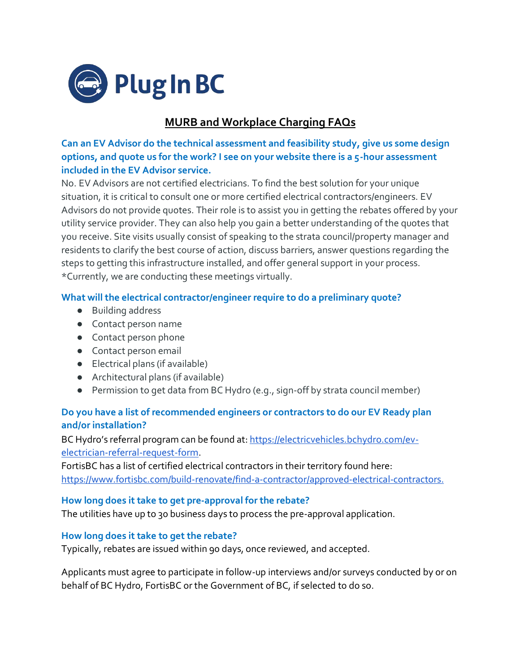

# **MURB and Workplace Charging FAQs**

**Can an EV Advisor do the technical assessment and feasibility study, give us some design options, and quote us for the work? I see on your website there is a 5-hour assessment included in the EV Advisor service.**

No. EV Advisors are not certified electricians. To find the best solution for your unique situation, it is critical to consult one or more certified electrical contractors/engineers. EV Advisors do not provide quotes. Their role is to assist you in getting the rebates offered by your utility service provider. They can also help you gain a better understanding of the quotes that you receive. Site visits usually consist of speaking to the strata council/property manager and residents to clarify the best course of action, discuss barriers, answer questions regarding the steps to getting this infrastructure installed, and offer general support in your process. \*Currently, we are conducting these meetings virtually.

#### **What will the electrical contractor/engineer require to do a preliminary quote?**

- Building address
- Contact person name
- Contact person phone
- Contact person email
- Electrical plans (if available)
- Architectural plans (if available)
- Permission to get data from BC Hydro (e.g., sign-off by strata council member)

## **Do you have a list of recommended engineers or contractors to do our EV Ready plan and/or installation?**

BC Hydro's referral program can be found at: [https://electricvehicles.bchydro.com/ev](https://electricvehicles.bchydro.com/ev-electrician-referral-request-form)[electrician-referral-request-form.](https://electricvehicles.bchydro.com/ev-electrician-referral-request-form)

FortisBC has a list of certified electrical contractors in their territory found here: [https://www.fortisbc.com/build-renovate/find-a-contractor/approved-electrical-contractors.](https://www.fortisbc.com/build-renovate/find-a-contractor/approved-electrical-contractors)

#### **How long does it take to get pre-approval for the rebate?**

The utilities have up to 30 business days to process the pre-approval application.

#### **How long does it take to get the rebate?**

Typically, rebates are issued within 90 days, once reviewed, and accepted.

Applicants must agree to participate in follow-up interviews and/or surveys conducted by or on behalf of BC Hydro, FortisBC or the Government of BC, if selected to do so.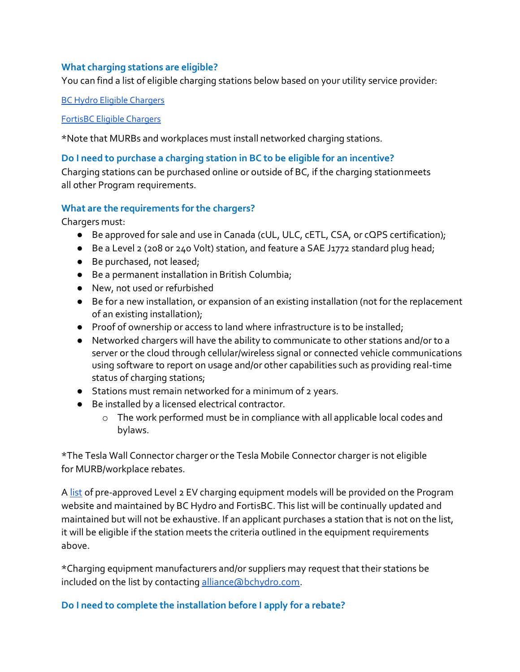#### **What charging stations are eligible?**

You can find a list of eligible charging stations below based on your utility service provider:

BC Hydro Eligible [Chargers](https://www.bchydro.com/content/dam/BCHydro/customer-portal/documents/power-smart/electric-vehicles/eligible-EV-charger-list.pdf)

#### FortisBC Eligible [Chargers](https://www.cdn.fortisbc.com/libraries/docs/default-source/rebates-and-energy-savings-documents/rebates-for-business/bch19-892-eveligiblecommercialcustomers-rev.pdf?sfvrsn=3d3e4b93_2)

\*Note that MURBs and workplaces must install networked charging stations.

### **Do I need to purchase a charging station in BC to be eligible for an incentive?**

Charging stations can be purchased online or outside of BC, if the charging stationmeets all other Program requirements.

### **What are the requirements for the chargers?**

Chargers must:

- Be approved for sale and use in Canada (cUL, ULC, cETL, CSA, or cQPS certification);
- Be a Level 2 (208 or 240 Volt) station, and feature a SAE J1772 standard plug head;
- Be purchased, not leased;
- Be a permanent installation in British Columbia;
- New, not used or refurbished
- Be for a new installation, or expansion of an existing installation (not for the replacement of an existing installation);
- Proof of ownership or access to land where infrastructure is to be installed;
- Networked chargers will have the ability to communicate to other stations and/or to a server or the cloud through cellular/wireless signal or connected vehicle communications using software to report on usage and/or other capabilities such as providing real-time status of charging stations;
- Stations must remain networked for a minimum of 2 years.
- Be installed by a licensed electrical contractor.
	- o The work performed must be in compliance with all applicable local codes and bylaws.

\*The Tesla Wall Connector charger or the Tesla Mobile Connector charger is not eligible for MURB/workplace rebates.

A [list](https://electricvehicles.bchydro.com/incentives/rebate-eligible-ev-chargers#apartments-workplaces) of pre-approved Level 2 EV charging equipment models will be provided on the Program website and maintained by BC Hydro and FortisBC. This list will be continually updated and maintained but will not be exhaustive. If an applicant purchases a station that is not on the list, it will be eligible if the station meets the criteria outlined in the equipment requirements above.

\*Charging equipment manufacturers and/or suppliers may request that their stations be included on the list by contacting alliance abchydro.com.

## **Do I need to complete the installation before I apply for a rebate?**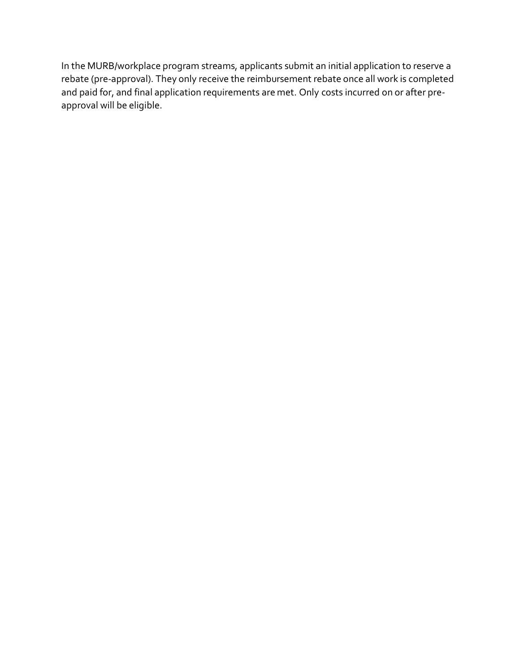In the MURB/workplace program streams, applicants submit an initial application to reserve a rebate (pre-approval). They only receive the reimbursement rebate once all work is completed and paid for, and final application requirements are met. Only costs incurred on or after preapproval will be eligible.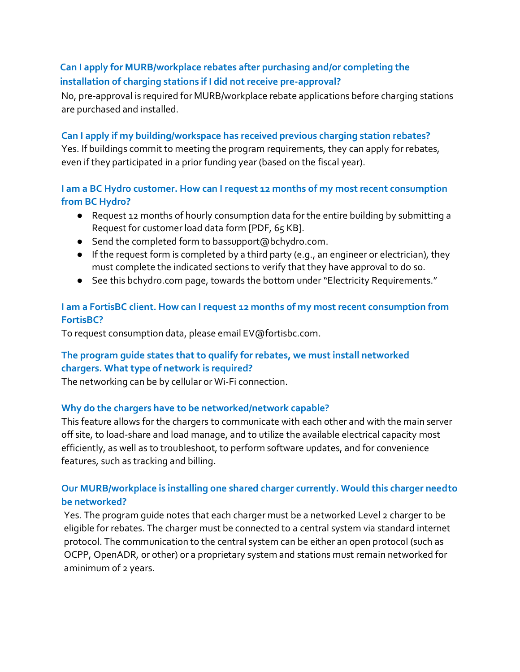# **Can I apply for MURB/workplace rebates after purchasing and/or completing the installation of charging stations if I did not receive pre-approval?**

No, pre-approval is required for MURB/workplace rebate applications before charging stations are purchased and installed.

## **Can I apply if my building/workspace has received previous charging station rebates?**

Yes. If buildings commit to meeting the program requirements, they can apply for rebates, even if they participated in a prior funding year (based on the fiscal year).

## **I am a BC Hydro customer. How can I request 12 months of my most recent consumption from BC Hydro?**

- Request 12 months of hourly consumption data for the entire building by submitting a [Request for customer load data form \[](https://www.bchydro.com/content/dam/BCHydro/customer-portal/documents/power-smart/electric-vehicles/EV-MURB-load-data-request.pdf)PDF, 65 KB].
- Send the completed form to [bassupport@bchydro.com.](mailto:bassupport@bchydro.com)
- If the request form is completed by a third party (e.g., an engineer or electrician), they must complete the indicated sections to verify that they have approval to do so.
- See this [bchydro.com p](https://electricvehicles.bchydro.com/charge/how-to-install-EV-charging-apartment)age, towards the bottom under "Electricity Requirements."

# **I am a FortisBC client. How can I request 12 months of my most recent consumption from FortisBC?**

To request consumption data, please email [EV@fortisbc.com.](mailto:EV@fortisbc.com)

# **The program guide states that to qualify for rebates, we must install networked chargers. What type of network is required?**

The networking can be by cellular or Wi-Fi connection.

## **Why do the chargers have to be networked/network capable?**

This feature allows for the chargers to communicate with each other and with the main server off site, to load-share and load manage, and to utilize the available electrical capacity most efficiently, as well as to troubleshoot, to perform software updates, and for convenience features, such as tracking and billing.

# **Our MURB/workplace is installing one shared charger currently. Would this charger needto be networked?**

Yes. The program guide notes that each charger must be a networked Level 2 charger to be eligible for rebates. The charger must be connected to a central system via standard internet protocol. The communication to the central system can be either an open protocol (such as OCPP, OpenADR, or other) or a proprietary system and stations must remain networked for aminimum of 2 years.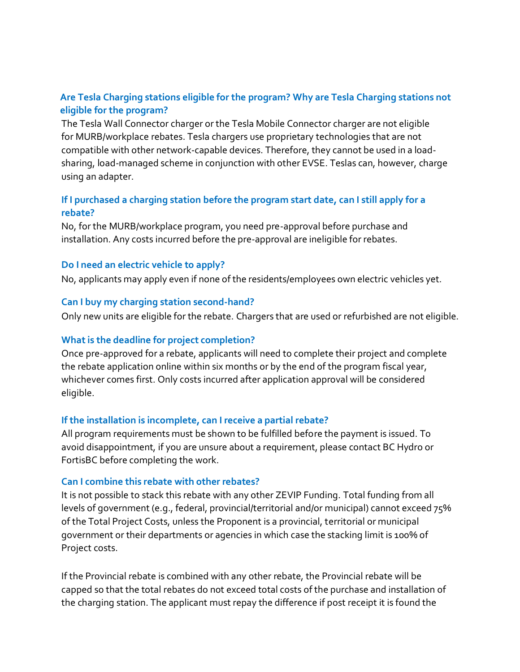## **Are Tesla Charging stations eligible for the program? Why are Tesla Charging stations not eligible for the program?**

The Tesla Wall Connector charger or the Tesla Mobile Connector charger are not eligible for MURB/workplace rebates. Tesla chargers use proprietary technologies that are not compatible with other network-capable devices. Therefore, they cannot be used in a loadsharing, load-managed scheme in conjunction with other EVSE. Teslas can, however, charge using an adapter.

## **If I purchased a charging station before the program start date, can I still apply for a rebate?**

No, for the MURB/workplace program, you need pre-approval before purchase and installation. Any costs incurred before the pre-approval are ineligible for rebates.

### **Do I need an electric vehicle to apply?**

No, applicants may apply even if none of the residents/employees own electric vehicles yet.

### **Can I buy my charging station second-hand?**

Only new units are eligible for the rebate. Chargers that are used or refurbished are not eligible.

## **Whatis the deadline for project completion?**

Once pre-approved for a rebate, applicants will need to complete their project and complete the rebate application online within six months or by the end of the program fiscal year, whichever comes first. Only costs incurred after application approval will be considered eligible.

## **If the installation is incomplete, can I receive a partial rebate?**

All program requirements must be shown to be fulfilled before the payment is issued. To avoid disappointment, if you are unsure about a requirement, please contact BC Hydro or FortisBC before completing the work.

#### **Can I combine this rebate with other rebates?**

It is not possible to stack this rebate with any other ZEVIP Funding. Total funding from all levels of government (e.g., federal, provincial/territorial and/or municipal) cannot exceed 75% of the Total Project Costs, unless the Proponent is a provincial, territorial or municipal government or their departments or agencies in which case the stacking limit is 100% of Project costs.

If the Provincial rebate is combined with any other rebate, the Provincial rebate will be capped so that the total rebates do not exceed total costs of the purchase and installation of the charging station. The applicant must repay the difference if post receipt it is found the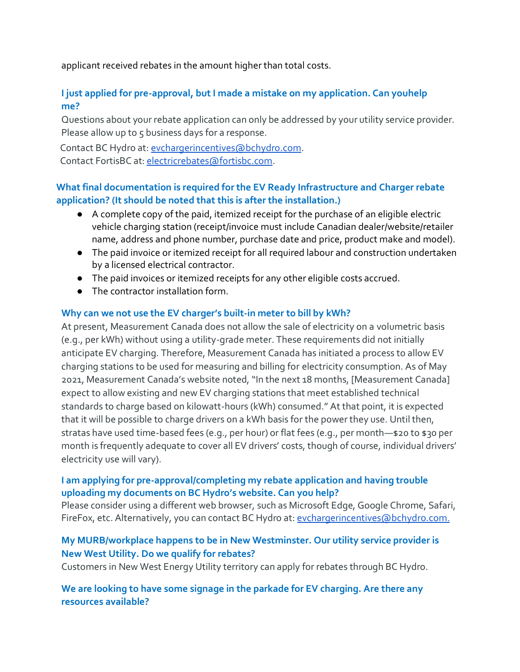applicant received rebates in the amount higher than total costs.

# **I just applied for pre-approval, but I made a mistake on my application. Can youhelp me?**

Questions about your rebate application can only be addressed by your utility service provider. Please allow up to 5 business days for a response.

Contact BC Hydro at[: evchargerincentives@bchydro.com.](mailto:evchargerincentives@bchydro.com)

Contact FortisBC at: [electricrebates@fortisbc.com.](mailto:electricrebates@fortisbc.com)

# **What final documentation is required for the EV Ready Infrastructure and Charger rebate application? (It should be noted that this is after the installation.)**

- A complete copy of the paid, itemized receipt for the purchase of an eligible electric vehicle charging station (receipt/invoice must include Canadian dealer/website/retailer name, address and phone number, purchase date and price, product make and model).
- The paid invoice or itemized receipt for all required labour and construction undertaken by a licensed electrical contractor.
- The paid invoices or itemized receipts for any other eligible costs accrued.
- The contractor installation form.

## **Why can we not use the EV charger's built-in meter to bill by kWh?**

At present, Measurement Canada does not allow the sale of electricity on a volumetric basis (e.g., per kWh) without using a utility-grade meter. These requirements did not initially anticipate EV charging. Therefore, Measurement Canada has initiated a process to allow EV charging stations to be used for measuring and billing for electricity consumption. As of May 2021, Measurement Canada's website noted, "In the next 18 months, [Measurement Canada] expect to allow existing and new EV charging stations that meet established technical standards to charge based on kilowatt-hours (kWh) consumed." At that point, it is expected that it will be possible to charge drivers on a kWh basis for the power they use. Until then, stratas have used time-based fees (e.g., per hour) or flat fees (e.g., per month—\$20 to \$30 per month is frequently adequate to cover all EV drivers' costs, though of course, individual drivers' electricity use will vary).

## **I am applying for pre-approval/completing my rebate application and having trouble uploading my documents on BC Hydro's website. Can you help?**

Please consider using a different web browser, such as Microsoft Edge, Google Chrome, Safari, FireFox, etc. Alternatively, you can contact BC Hydro at: [evchargerincentives@bchydro.com.](mailto:evchargerincentives@bchydro.com)

# **My MURB/workplace happens to be in New Westminster. Our utility service provider is New West Utility. Do we qualify for rebates?**

Customers in New West Energy Utility territory can apply for rebates through BC Hydro.

## **We are looking to have some signage in the parkade for EV charging. Are there any resources available?**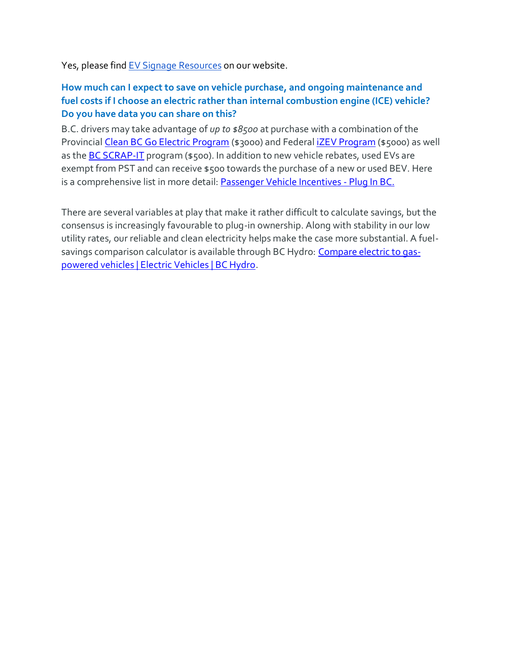Yes, please find EV Signage [Resources](https://pluginbc.ca/wp/wp-content/uploads/2017/05/CCI_EV_Zi-signage-graphics.zip) on our website.

## **How much can I expect to save on vehicle purchase, and ongoing maintenance and fuel costs if I choose an electric rather than internal combustion engine (ICE) vehicle? Do you have data you can share on this?**

B.C. drivers may take advantage of *up to \$8500* at purchase with a combination of the Provincial [Clean BC Go Electric Program](https://newcardealersgoelectric.ca/) (\$3000) and Federa[l iZEV Program](https://tc.canada.ca/en/road-transportation/innovative-technologies/zero-emission-vehicles/list-eligible-vehicles-under-izev-program) (\$5000) as well as the **BC SCRAP-IT** program (\$500). In addition to new vehicle rebates, used EVs are exempt from PST and can receive \$500 towards the purchase of a new or used BEV. Here is a comprehensive list in more detail[: Passenger Vehicle Incentives -](https://pluginbc.ca/incentives/vehicle-incentives/) Plug In BC.

There are several variables at play that make it rather difficult to calculate savings, but the consensus is increasingly favourable to plug-in ownership. Along with stability in our low utility rates, our reliable and clean electricity helps make the case more substantial. A fuel-savings comparison calculator is available through BC Hydro: [Compare electric to gas](https://electricvehicles.bchydro.com/learn/fuel-savings-calculator/compare)[powered vehicles | Electric Vehicles | BC Hydro.](https://electricvehicles.bchydro.com/learn/fuel-savings-calculator/compare)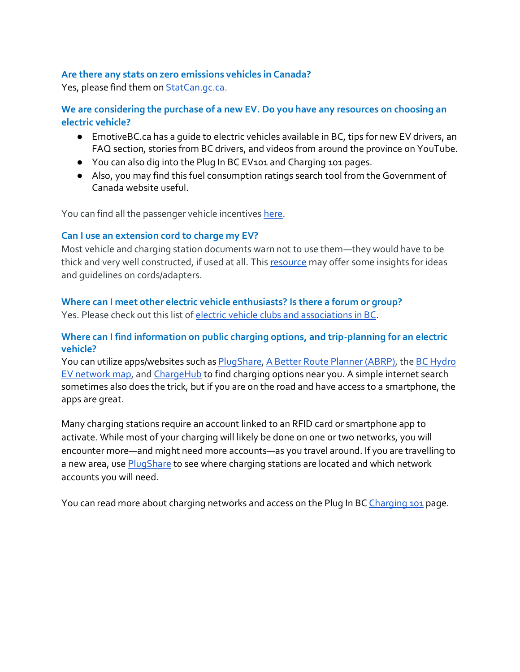#### **Are there any stats on zero emissions vehicles in Canada?**

Yes, please find them on **[StatCan.gc.ca.](https://www150.statcan.gc.ca/n1/pub/11-627-m/11-627-m2021012-eng.htm)** 

**We are considering the purchase of a new EV. Do you have any resources on choosing an electric vehicle?**

- [EmotiveBC.ca h](http://www.emotivebc.ca/)as a guide t[o electric vehicles available in BC,](http://www.emotivebc.ca/wp-content/uploads/2020/09/Electric-Vehicles-in-BC.pdf) tips [for new EV drivers,](http://www.emotivebc.ca/wp-content/uploads/2020/11/Emotive-New-Driver-Tips.pdf) an [FAQ s](http://www.emotivebc.ca/faqs/)ection[, stories from BC drivers,](http://www.emotivebc.ca/blog/) an[d videos f](https://www.youtube.com/channel/UC0viatV2bT95B-Hi0dEub4g)rom around the province on YouTube.
- You can also dig into the Plug In BC [EV101 a](https://pluginbc.ca/ev101/)n[d Charging 101 p](https://pluginbc.ca/charging/)ages.
- Also, you may find this fuel consumption ratings searc[h tool f](https://fcr-ccc.nrcan-rncan.gc.ca/en)rom the Government of Canada website useful.

You can find all the passenger vehicle incentives [here.](https://pluginbc.ca/incentives/vehicle-incentives/)

#### **Can I use an extension cord to charge my EV?**

Most vehicle and charging station documents warn not to use them—they would have to be thick and very well constructed, if used at all. This [resource](https://greentransportation.info/ev-charging/range-confidence/chap8-tech/electric-car-extension-cords.html) may offer some insights for ideas and guidelines on cords/adapters.

## **Where can I meet other electric vehicle enthusiasts? Is there a forum or group?**

Yes. Please check out this list of electric vehicle clubs and [associations](https://pluginbc.ca/outreach/evclubs/) in BC.

### **Where can I find information on public charging options, and trip-planning for an electric vehicle?**

You can utilize apps/websites such as [PlugShare,](https://www.plugshare.com/) A Better Route Planner [\(ABRP\),](https://abetterrouteplanner.com/) the BC [Hydro](https://www.bchydro.com/powersmart/electric-vehicles/charging/bc-hydro-ev-network/ev-stations-map.html) [EV n](https://www.bchydro.com/powersmart/electric-vehicles/charging/bc-hydro-ev-network/ev-stations-map.html)etwork map, and [ChargeHub](https://chargehub.com/en/charging-stations-map.html) to find charging options near you. A simple internet search sometimes also does the trick, but if you are on the road and have access to a smartphone, the apps are great.

Many charging stations require an account linked to an RFID card or smartphone app to activate. While most of your charging will likely be done on one or two networks, you will encounter more—and might need more accounts—as you travel around. If you are travelling to a new area, us[e PlugShare](https://www.plugshare.com/) to see where charging stations are located and which network accounts you will need.

You can read more about charging networks and access on the Plug In BC [Charging](https://pluginbc.ca/charging/charging-cards-and-apps/) 101 page.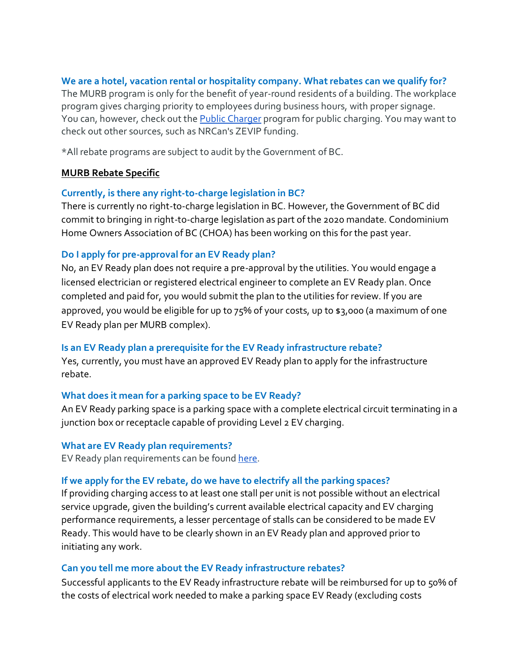### **We are a hotel, vacation rental or hospitality company. What rebates can we qualify for?**

The MURB program is only for the benefit of year-round residents of a building. The workplace program gives charging priority to employees during business hours, with proper signage. You can, however, check out the [Public Charger](https://pluginbc.ca/publiccharger/) program for public charging. You may want to check out other sources, such as NRCan's ZEVIP funding.

\*All rebate programs are subject to audit by the Government of BC.

### **MURB Rebate Specific**

#### **Currently, is there any right-to-charge legislation in BC?**

There is currently no right-to-charge legislation in BC. However, the Government of BC did commit to bringing in right-to-charge legislation as part of the 2020 mandate. Condominium Home Owners Association of BC [\(CHOA\)](https://www.choa.bc.ca/) has been working on this for the past year.

### **Do I apply for pre-approval for an EV Ready plan?**

No, an EV Ready plan does not require a pre-approval by the utilities. You would engage a licensed electrician or registered electrical engineer to complete an EV Ready plan. Once completed and paid for, you would submit the plan to the utilities for review. If you are approved, you would be eligible for up to 75% of your costs, up to \$3,000 (a maximum of one EV Ready plan per MURB complex).

## **Is an EV Ready plan a prerequisite for the EV Ready infrastructure rebate?**

Yes, currently, you must have an approved EV Ready plan to apply for the infrastructure rebate.

#### **What does it mean for a parking space to be EV Ready?**

An EV Ready parking space is a parking space with a complete electrical circuit terminating in a junction box or receptacle capable of providing Level 2 EV charging.

**What are EV Ready plan requirements?**

EV Ready plan requirements can be found [here.](https://www.bchydro.com/content/dam/BCHydro/customer-portal/documents/power-smart/electric-vehicles/ev-ready-plan-requirements.pdf)

## **If we apply for the EV rebate, do we have to electrify all the parking spaces?**

If providing charging access to at least one stall per unit is not possible without an electrical service upgrade, given the building's current available electrical capacity and EV charging performance requirements, a lesser percentage of stalls can be considered to be made EV Ready. This would have to be clearly shown in an EV Ready plan and approved prior to initiating any work.

#### **Can you tell me more about the EV Ready infrastructure rebates?**

Successful applicants to the EV Ready infrastructure rebate will be reimbursed for up to 50% of the costs of electrical work needed to make a parking space EV Ready (excluding costs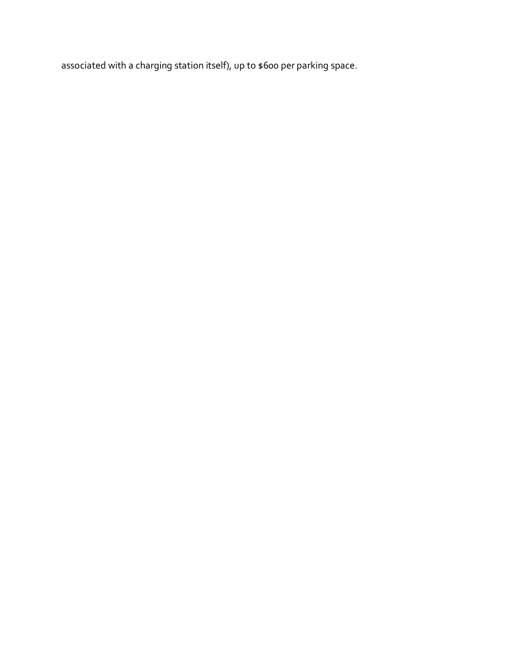associated with a charging station itself), up to \$600 per parking space.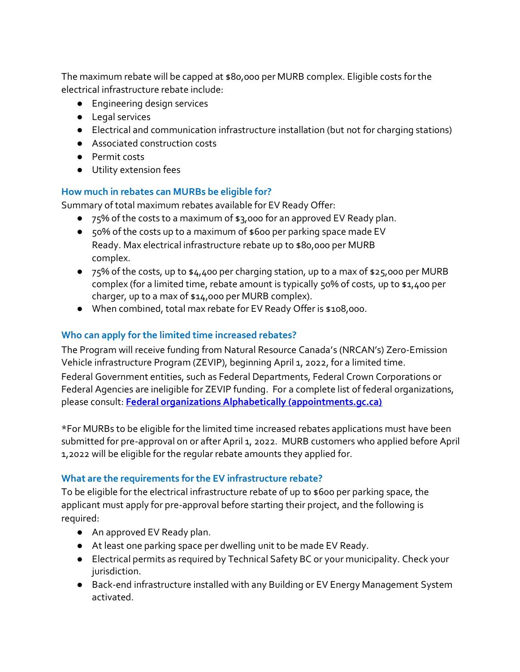The maximum rebate will be capped at \$80,000 per MURB complex. Eligible costs forthe electrical infrastructure rebate include:

- Engineering design services
- Legal services
- Electrical and communication infrastructure installation (but not for charging stations)
- Associated construction costs
- Permit costs
- Utility extension fees

### **How much in rebates can MURBs be eligible for?**

Summary of total maximum rebates available for EV Ready Offer:

- 75% of the costs to a maximum of \$3,000 for an approved EV Ready plan.
- 50% of the costs up to a maximum of \$600 per parking space made EV Ready. Max electrical infrastructure rebate up to \$80,000 per MURB complex.
- $\bullet$  75% of the costs, up to  $\frac{1}{4}4,400$  per charging station, up to a max of  $\frac{1}{4}25,000$  per MURB complex (for a limited time, rebate amount is typically 50% of costs, up to \$1,400 per charger, up to a max of \$14,000 per MURB complex).
- When combined, total max rebate for EV Ready Offer is \$108,000.

## **Who can apply for the limited time increased rebates?**

The Program will receive funding from Natural Resource Canada's (NRCAN's) Zero-Emission Vehicle infrastructure Program (ZEVIP), beginning April 1, 2022, for a limited time.

Federal Government entities, such as Federal Departments, Federal Crown Corporations or Federal Agencies are ineligible for ZEVIP funding. For a complete list of federal organizations, please consult: **[Federal organizations Alphabetically \(appointments.gc.ca\)](https://appointments.gc.ca/lstOrgs.asp?type-typ=1&lang=eng)**

\*For MURBs to be eligible for the limited time increased rebates applications must have been submitted for pre-approval on or after April 1, 2022. MURB customers who applied before April 1,2022 will be eligible for the regular rebate amounts they applied for.

## **What are the requirements for the EV infrastructure rebate?**

To be eligible for the electrical infrastructure rebate of up to \$600 per parking space, the applicant must apply for pre-approval before starting their project, and the following is required:

- An approved EV Ready plan.
- At least one parking space per dwelling unit to be made EV Ready.
- Electrical permits as required by Technical Safety BC or your municipality. Check your jurisdiction.
- Back-end infrastructure installed with any Building or EV Energy Management System activated.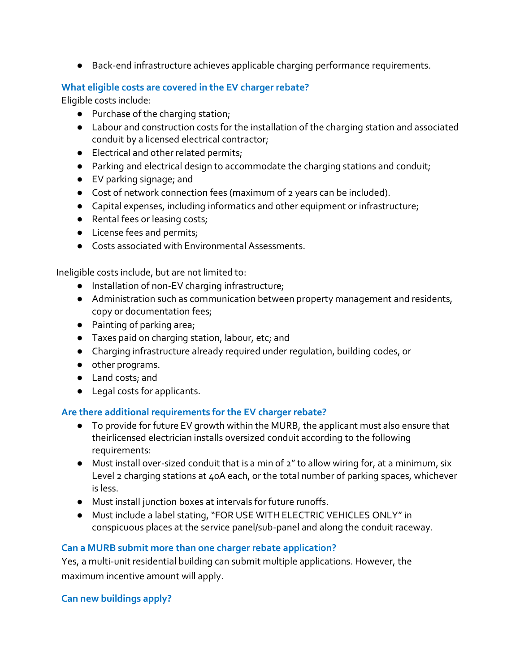● Back-end infrastructure achieves applicable charging performance requirements.

### **What eligible costs are covered in the EV charger rebate?**

Eligible costs include:

- Purchase of the charging station;
- Labour and construction costs for the installation of the charging station and associated conduit by a licensed electrical contractor;
- Electrical and other related permits;
- Parking and electrical design to accommodate the charging stations and conduit;
- EV parking signage; and
- Cost of network connection fees (maximum of 2 years can be included).
- Capital expenses, including informatics and other equipment or infrastructure;
- Rental fees or leasing costs;
- License fees and permits;
- Costs associated with Environmental Assessments.

Ineligible costs include, but are not limited to:

- Installation of non-EV charging infrastructure;
- Administration such as communication between property management and residents, copy or documentation fees;
- Painting of parking area;
- Taxes paid on charging station, labour, etc; and
- Charging infrastructure already required under regulation, building codes, or
- other programs.
- Land costs; and
- Legal costs for applicants.

## **Are there additional requirements for the EV charger rebate?**

- To provide for future EV growth within the MURB, the applicant must also ensure that theirlicensed electrician installs oversized conduit according to the following requirements:
- Must install over-sized conduit that is a min of 2" to allow wiring for, at a minimum, six Level 2 charging stations at 40A each, or the total number of parking spaces, whichever is less.
- Must install junction boxes at intervals for future runoffs.
- Must include a label stating, "FOR USE WITH ELECTRIC VEHICLES ONLY" in conspicuous places at the service panel/sub-panel and along the conduit raceway.

## **Can a MURB submit more than one charger rebate application?**

Yes, a multi-unit residential building can submit multiple applications. However, the maximum incentive amount will apply.

#### **Can new buildings apply?**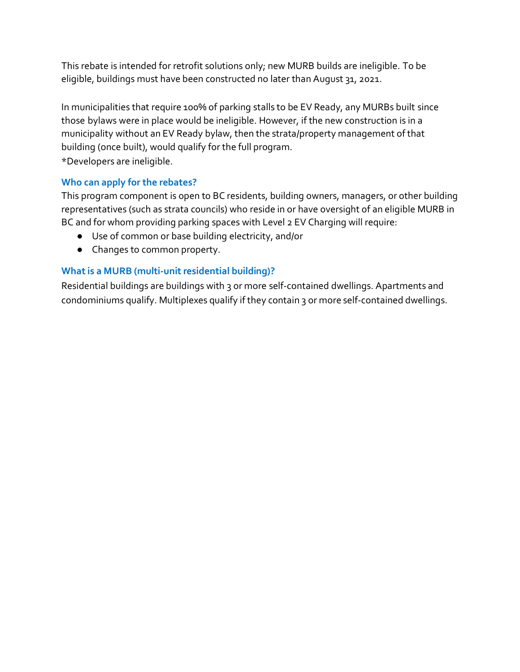This rebate is intended for retrofit solutions only; new MURB builds are ineligible. To be eligible, buildings must have been constructed no later than August 31, 2021.

In municipalities that require 100% of parking stalls to be EV Ready, any MURBs built since those bylaws were in place would be ineligible. However, if the new construction is in a municipality without an EV Ready bylaw, then the strata/property management of that building (once built), would qualify for the full program. \*Developers are ineligible.

## **Who can apply for the rebates?**

This program component is open to BC residents, building owners, managers, or other building representatives (such as strata councils) who reside in or have oversight of an eligible MURB in BC and for whom providing parking spaces with Level 2 EV Charging will require:

- Use of common or base building electricity, and/or
- Changes to common property.

## **What is a MURB** (multi-unit residential building)?

Residential buildings are buildings with 3 or more self-contained dwellings. Apartments and condominiums qualify. Multiplexes qualify if they contain 3 or more self-contained dwellings.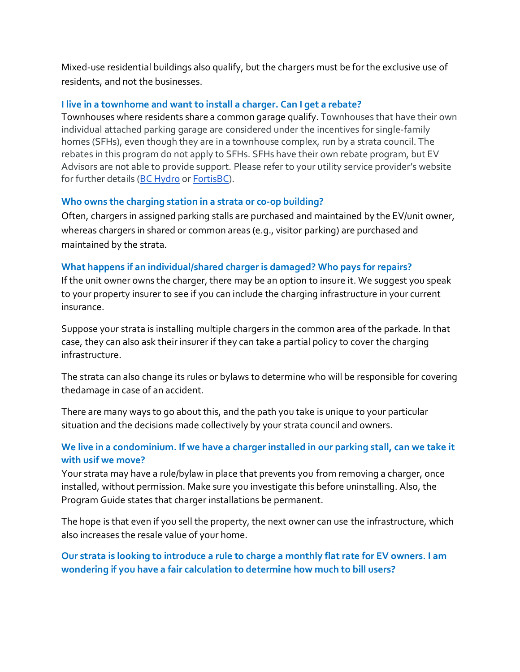Mixed-use residential buildings also qualify, but the chargers must be for the exclusive use of residents, and not the businesses.

### **I live in a townhome and want to install a charger. Can I get a rebate?**

Townhouses where residents share a common garage qualify. Townhouses that have their own individual attached parking garage are considered under the incentives for single-family homes (SFHs), even though they are in a townhouse complex, run by a strata council. The rebates in this program do not apply to SFHs. SFHs have their own rebate program, but EV Advisors are not able to provide support. Please refer to your utility service provider's website for further details [\(BC Hydro](https://electricvehicles.bchydro.com/incentives/charger-rebates) or [FortisBC\)](https://www.fortisbc.com/services/sustainable-energy-options/electric-vehicle-charging).

### **Who owns the charging station in a strata or co-op building?**

Often, chargers in assigned parking stalls are purchased and maintained by the EV/unit owner, whereas chargers in shared or common areas (e.g., visitor parking) are purchased and maintained by the strata.

### **What happens if an individual/shared charger is damaged? Who pays for repairs?**

If the unit owner owns the charger, there may be an option to insure it. We suggest you speak to your property insurer to see if you can include the charging infrastructure in your current insurance.

Suppose your strata is installing multiple chargers in the common area of the parkade. In that case, they can also ask their insurer if they can take a partial policy to cover the charging infrastructure.

The strata can also change its rules or bylaws to determine who will be responsible for covering thedamage in case of an accident.

There are many ways to go about this, and the path you take is unique to your particular situation and the decisions made collectively by your strata council and owners.

## **We live in a condominium. If we have a charger installed in our parking stall, can we take it with usif we move?**

Your strata may have a rule/bylaw in place that prevents you from removing a charger, once installed, without permission. Make sure you investigate this before uninstalling. Also, the Program Guide states that charger installations be permanent.

The hope is that even if you sell the property, the next owner can use the infrastructure, which also increases the resale value of your home.

# **Our strata is looking to introduce a rule to charge a monthly flat rate for EV owners. I am wondering if you have a fair calculation to determine how much to bill users?**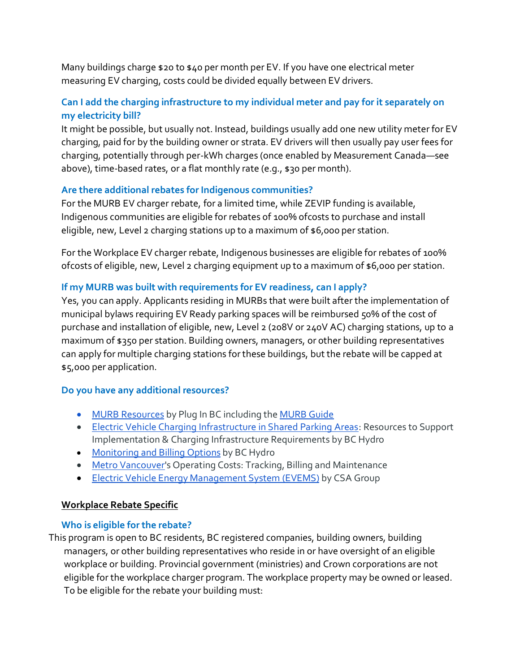Many buildings charge \$20 to \$40 per month per EV. If you have one electrical meter measuring EV charging, costs could be divided equally between EV drivers.

# **Can I add the charging infrastructure to my individual meter and pay for it separately on my electricity bill?**

It might be possible, but usually not. Instead, buildings usually add one new utility meter for EV charging, paid for by the building owner or strata. EV drivers will then usually pay user fees for charging, potentially through per-kWh charges (once enabled by Measurement Canada—see above), time-based rates, or a flat monthly rate (e.g., \$30 per month).

## **Are there additional rebates for Indigenous communities?**

For the MURB EV charger rebate, for a limited time, while ZEVIP funding is available, Indigenous communities are eligible for rebates of 100% ofcosts to purchase and install eligible, new, Level 2 charging stations up to a maximum of \$6,000 per station.

For the Workplace EV charger rebate, Indigenous businesses are eligible for rebates of 100% ofcosts of eligible, new, Level 2 charging equipment up to a maximum of \$6,000 per station.

## **If my MURB was built with requirements for EV readiness, can I apply?**

Yes, you can apply. Applicants residing in MURBs that were built after the implementation of municipal bylaws requiring EV Ready parking spaces will be reimbursed 50% of the cost of purchase and installation of eligible, new, Level 2 (208V or 240V AC) charging stations, up to a maximum of \$350 per station. Building owners, managers, or other building representatives can apply for multiple charging stations forthese buildings, but the rebate will be capped at \$5,000 per application.

## **Do you have any additional resources?**

- MURB [Resources](https://pluginbc.ca/charging/murb-and-workplace-charging/) by Plug In BC including the [MURB](https://pluginbc.ca/wp/wp-content/uploads/2021/01/Installing_Electric_Vehicle_Charging_MURB.pdf) Guide
- [Electric Vehicle Charging Infrastructure in Shared Parking Areas:](https://www.bchydro.com/content/dam/BCHydro/customer-portal/documents/power-smart/electric-vehicles/ev-charging-infrastructure-in-shared-parking-areas.pdf) Resources to Support Implementation & Charging Infrastructure Requirements by BC Hydro
- [Monitoring](https://electricvehicles.bchydro.com/charge/tracking-billing-EV-costs-apartment-strata) and Billing Options by BC Hydro
- Metro [Vancouver's](http://www.metrovancouver.org/services/air-quality/climate-action/transportation-programs/ev-strata-condo/key-info/cost-charging/Pages/default.aspx) Operating Costs: Tracking, Billing and Maintenance
- Electric Vehicle Energy [Management](https://www.csagroup.org/wp-content/uploads/CSA-RR_ElectricVehicle_WebRes.pdf) System (EVEMS) by CSA Group

#### **Workplace Rebate Specific**

#### **Who is eligible for the rebate?**

This program is open to BC residents, BC registered companies, building owners, building managers, or other building representatives who reside in or have oversight of an eligible workplace or building. Provincial government (ministries) and Crown corporations are not eligible for the workplace charger program. The workplace property may be owned or leased. To be eligible for the rebate your building must: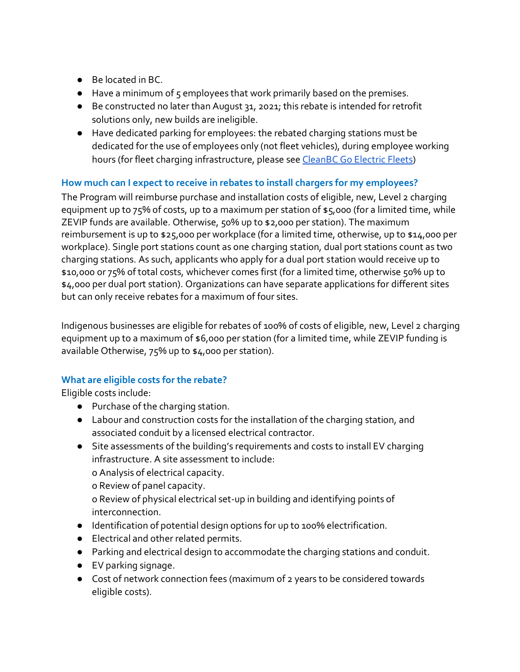- Be located in BC.
- Have a minimum of 5 employees that work primarily based on the premises.
- Be constructed no later than August 31, 2021; this rebate is intended for retrofit solutions only, new builds are ineligible.
- Have dedicated parking for employees: the rebated charging stations must be dedicated for the use of employees only (not fleet vehicles), during employee working hours (for fleet charging infrastructure, please see [CleanBC](https://pluginbc.ca/go-electric-fleets/) Go Electric Fleets)

# **How much can I expect to receive in rebates to install chargers for my employees?**

The Program will reimburse purchase and installation costs of eligible, new, Level 2 charging equipment up to 75% of costs, up to a maximum per station of \$5,000 (for a limited time, while ZEVIP funds are available. Otherwise, 50% up to \$2,000 per station). The maximum reimbursement is up to \$25,000 per workplace (for a limited time, otherwise, up to \$14,000 per workplace). Single port stations count as one charging station, dual port stations count as two charging stations. As such, applicants who apply for a dual port station would receive up to \$10,000 or 75% of total costs, whichever comes first (for a limited time, otherwise 50% up to \$4,000 per dual port station). Organizations can have separate applications for different sites but can only receive rebates for a maximum of four sites.

Indigenous businesses are eligible for rebates of 100% of costs of eligible, new, Level 2 charging equipment up to a maximum of \$6,000 per station (for a limited time, while ZEVIP funding is available Otherwise, 75% up to \$4,000 per station).

## **What are eligible costs for the rebate?**

Eligible costs include:

- Purchase of the charging station.
- Labour and construction costs for the installation of the charging station, and associated conduit by a licensed electrical contractor.
- Site assessments of the building's requirements and costs to install EV charging infrastructure. A site assessment to include:
	- o Analysis of electrical capacity.

o Review of panel capacity.

o Review of physical electrical set-up in building and identifying points of interconnection.

- Identification of potential design options for up to 100% electrification.
- Electrical and other related permits.
- Parking and electrical design to accommodate the charging stations and conduit.
- EV parking signage.
- Cost of network connection fees (maximum of 2 years to be considered towards eligible costs).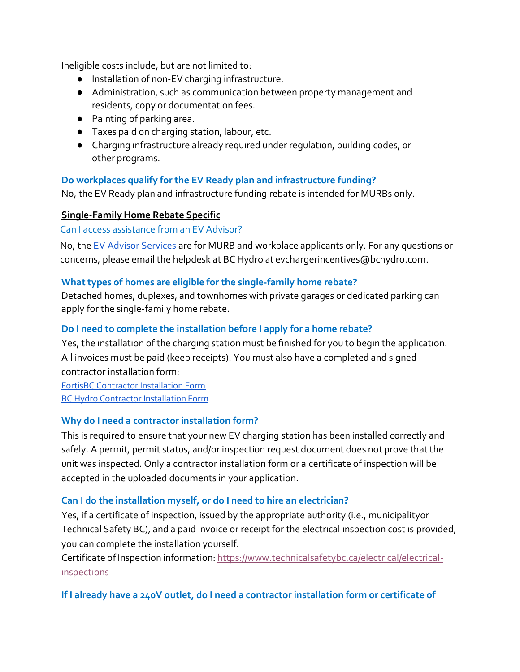Ineligible costs include, but are not limited to:

- Installation of non-EV charging infrastructure.
- Administration, such as communication between property management and residents, copy or documentation fees.
- Painting of parking area.
- Taxes paid on charging station, labour, etc.
- Charging infrastructure already required under regulation, building codes, or other programs.

## **Do workplaces qualify for the EV Ready plan and infrastructure funding?**

No, the EV Ready plan and infrastructure funding rebate is intended for MURBs only.

## **Single-FamilyHome Rebate Specific**

### Can I access assistance from an EV Advisor?

No, the [EV Advisor Services](https://pluginbc.ca/ev-advisor-service/) are for MURB and workplace applicants only. For any questions or concerns, please email the helpdesk at BC Hydro at [evchargerincentives@bchydro.com.](mailto:evchargerincentives@bchydro.com)

## **Whattypes of homes are eligible for the single-family home rebate?**

Detached homes, duplexes, and townhomes with private garages or dedicated parking can apply for the single-family home rebate.

# **Do I need to complete the installation before I apply for a home rebate?**

Yes, the installation of the charging station must be finished for you to begin the application. All invoices must be paid (keep receipts). You must also have a completed and signed contractor installation form:

[FortisBC Contractor Installation Form](https://www.cdn.fortisbc.com/libraries/docs/default-source/rebates-and-energy-savings-documents/rebates-for-homes/bch19-842a-sfh-contractor-form-fillableare.pdf?sfvrsn=6ef550a6_2) BC Hydro Contractor [Installation](https://www.bchydro.com/content/dam/BCHydro/customer-portal/documents/power-smart/electric-vehicles/EV-contractor-installation-form-home.pdf) Form

## **Why do I need a contractor installation form?**

This is required to ensure that your new EV charging station has been installed correctly and safely. A permit, permit status, and/or inspection request document does not prove that the unit was inspected. Only a contractor installation form or a [certificate of inspection w](https://www.technicalsafetybc.ca/electrical/electrical-inspections)ill be accepted in the uploaded documents in your application.

## **Can I do the installation myself, or do I need to hire an electrician?**

Yes, if a certificate of inspection, issued by the appropriate authority (i.e., municipalityor Technical Safety BC), and a paid invoice or receipt for the electrical inspection cost is provided, you can complete the installation yourself.

Certificate of Inspection information: [https://www.technicalsafetybc.ca/electrical/electrical](https://www.technicalsafetybc.ca/electrical/electrical-inspections)[inspections](https://www.technicalsafetybc.ca/electrical/electrical-inspections)

# **If I already have a 240V outlet, do I need a contractor installation form or certificate of**